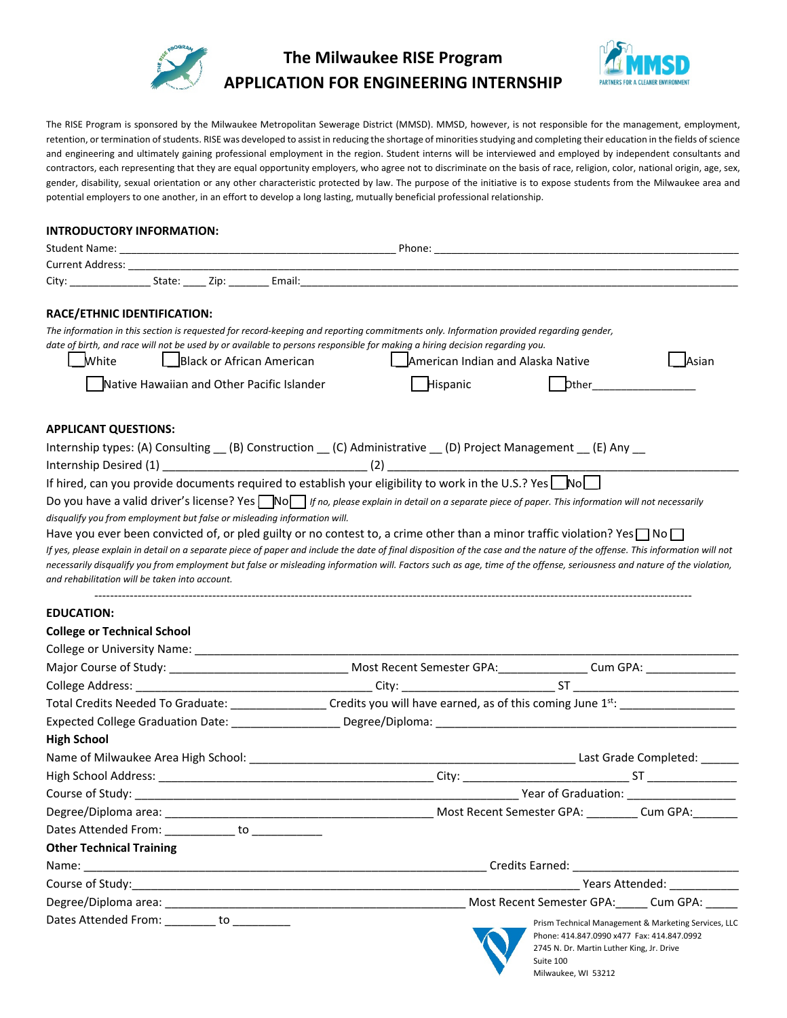

## **The Milwaukee RISE Program APPLICATION FOR ENGINEERING INTERNSHIP**



The RISE Program is sponsored by the Milwaukee Metropolitan Sewerage District (MMSD). MMSD, however, is not responsible for the management, employment, retention, or termination of students. RISE was developed to assist in reducing the shortage of minorities studying and completing their education in the fields of science and engineering and ultimately gaining professional employment in the region. Student interns will be interviewed and employed by independent consultants and contractors, each representing that they are equal opportunity employers, who agree not to discriminate on the basis of race, religion, color, national origin, age, sex, gender, disability, sexual orientation or any other characteristic protected by law. The purpose of the initiative is to expose students from the Milwaukee area and potential employers to one another, in an effort to develop a long lasting, mutually beneficial professional relationship.

## **INTRODUCTORY INFORMATION:**

|                                 | RACE/ETHNIC IDENTIFICATION:                       |                                                                                                                                                                |                                   |                                           |                                                                                                                                                                              |
|---------------------------------|---------------------------------------------------|----------------------------------------------------------------------------------------------------------------------------------------------------------------|-----------------------------------|-------------------------------------------|------------------------------------------------------------------------------------------------------------------------------------------------------------------------------|
|                                 |                                                   | The information in this section is requested for record-keeping and reporting commitments only. Information provided regarding gender,                         |                                   |                                           |                                                                                                                                                                              |
|                                 |                                                   | date of birth, and race will not be used by or available to persons responsible for making a hiring decision regarding you.                                    |                                   |                                           |                                                                                                                                                                              |
| White                           |                                                   | Black or African American                                                                                                                                      | American Indian and Alaska Native |                                           | _Asian                                                                                                                                                                       |
|                                 |                                                   | Native Hawaiian and Other Pacific Islander                                                                                                                     | Hispanic                          |                                           |                                                                                                                                                                              |
| <b>APPLICANT QUESTIONS:</b>     |                                                   |                                                                                                                                                                |                                   |                                           |                                                                                                                                                                              |
|                                 |                                                   | Internship types: (A) Consulting (B) Construction (C) Administrative (D) Project Management (E) Any                                                            |                                   |                                           |                                                                                                                                                                              |
|                                 |                                                   |                                                                                                                                                                |                                   |                                           |                                                                                                                                                                              |
|                                 |                                                   | If hired, can you provide documents required to establish your eligibility to work in the U.S.? Yes $\Box$ No $\Box$                                           |                                   |                                           |                                                                                                                                                                              |
|                                 |                                                   | Do you have a valid driver's license? Yes $\Box$ No $\Box$ If no, please explain in detail on a separate piece of paper. This information will not necessarily |                                   |                                           |                                                                                                                                                                              |
|                                 |                                                   | disqualify you from employment but false or misleading information will.                                                                                       |                                   |                                           |                                                                                                                                                                              |
|                                 |                                                   | Have you ever been convicted of, or pled guilty or no contest to, a crime other than a minor traffic violation? Yes $\Box$ No $\Box$                           |                                   |                                           |                                                                                                                                                                              |
|                                 |                                                   |                                                                                                                                                                |                                   |                                           | If yes, please explain in detail on a separate piece of paper and include the date of final disposition of the case and the nature of the offense. This information will not |
|                                 | and rehabilitation will be taken into account.    |                                                                                                                                                                |                                   |                                           | necessarily disqualify you from employment but false or misleading information will. Factors such as age, time of the offense, seriousness and nature of the violation,      |
|                                 |                                                   |                                                                                                                                                                |                                   |                                           |                                                                                                                                                                              |
| <b>EDUCATION:</b>               |                                                   |                                                                                                                                                                |                                   |                                           |                                                                                                                                                                              |
|                                 | <b>College or Technical School</b>                |                                                                                                                                                                |                                   |                                           |                                                                                                                                                                              |
|                                 |                                                   |                                                                                                                                                                |                                   |                                           |                                                                                                                                                                              |
|                                 |                                                   |                                                                                                                                                                |                                   |                                           |                                                                                                                                                                              |
|                                 |                                                   |                                                                                                                                                                |                                   |                                           |                                                                                                                                                                              |
|                                 |                                                   |                                                                                                                                                                |                                   |                                           |                                                                                                                                                                              |
|                                 |                                                   |                                                                                                                                                                |                                   |                                           |                                                                                                                                                                              |
| <b>High School</b>              |                                                   |                                                                                                                                                                |                                   |                                           |                                                                                                                                                                              |
|                                 |                                                   |                                                                                                                                                                |                                   |                                           |                                                                                                                                                                              |
|                                 |                                                   |                                                                                                                                                                |                                   |                                           |                                                                                                                                                                              |
|                                 |                                                   |                                                                                                                                                                |                                   |                                           | Course of Study: Near of Graduation: Near of Graduation:                                                                                                                     |
|                                 |                                                   |                                                                                                                                                                |                                   |                                           |                                                                                                                                                                              |
|                                 | Dates Attended From: ____________ to ____________ |                                                                                                                                                                |                                   |                                           |                                                                                                                                                                              |
| <b>Other Technical Training</b> |                                                   |                                                                                                                                                                |                                   |                                           |                                                                                                                                                                              |
|                                 |                                                   |                                                                                                                                                                |                                   |                                           |                                                                                                                                                                              |
|                                 |                                                   |                                                                                                                                                                |                                   |                                           | Years Attended:                                                                                                                                                              |
|                                 |                                                   |                                                                                                                                                                |                                   |                                           | Most Recent Semester GPA: Cum GPA:                                                                                                                                           |
|                                 | Dates Attended From: ________ to ________         |                                                                                                                                                                |                                   |                                           | Prism Technical Management & Marketing Services, LLC                                                                                                                         |
|                                 |                                                   |                                                                                                                                                                |                                   | 2745 N. Dr. Martin Luther King, Jr. Drive | Phone: 414.847.0990 x477 Fax: 414.847.0992                                                                                                                                   |